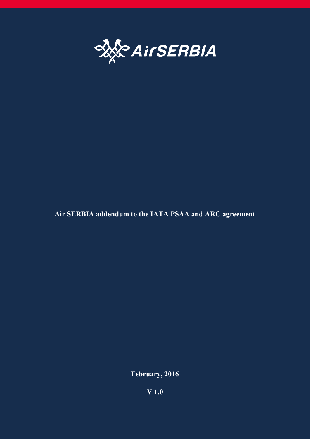

# **Air SERBIA addendum to the IATA PSAA and ARC agreement**

**February, 2016**

**V 1.0**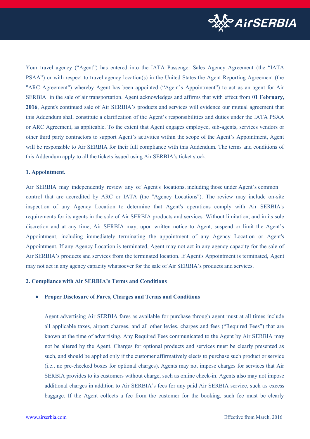

Your travel agency ("Agent") has entered into the IATA Passenger Sales Agency Agreement (the "IATA PSAA") or with respect to travel agency location(s) in the United States the Agent Reporting Agreement (the "ARC Agreement") whereby Agent has been appointed ("Agent's Appointment") to act as an agent for Air SERBIA in the sale of air transportation. Agent acknowledges and affirms that with effect from **01 February, 2016**, Agent's continued sale of Air SERBIA's products and services will evidence our mutual agreement that this Addendum shall constitute a clarification of the Agent's responsibilities and duties under the IATA PSAA or ARC Agreement, as applicable. To the extent that Agent engages employee, sub-agents, services vendors or other third party contractors to support Agent's activities within the scope of the Agent's Appointment, Agent will be responsible to Air SERBIA for their full compliance with this Addendum. The terms and conditions of this Addendum apply to all the tickets issued using Air SERBIA's ticket stock.

### **1. Appointment.**

Air SERBIA may independently review any of Agent's locations, including those under Agent's common control that are accredited by ARC or IATA (the "Agency Locations"). The review may include on-site inspection of any Agency Location to determine that Agent's operations comply with Air SERBIA's requirements for its agents in the sale of Air SERBIA products and services. Without limitation, and in its sole discretion and at any time, Air SERBIA may, upon written notice to Agent, suspend or limit the Agent's Appointment, including immediately terminating the appointment of any Agency Location or Agent's Appointment. If any Agency Location is terminated, Agent may not act in any agency capacity for the sale of Air SERBIA's products and services from the terminated location. If Agent's Appointment is terminated, Agent may not act in any agency capacity whatsoever for the sale of Air SERBIA's products and services.

### **2. Compliance with Air SERBIA's Terms and Conditions**

### **● Proper Disclosure of Fares, Charges and Terms and Conditions**

Agent advertising Air SERBIA fares as available for purchase through agent must at all times include all applicable taxes, airport charges, and all other levies, charges and fees ("Required Fees") that are known at the time of advertising. Any Required Fees communicated to the Agent by Air SERBIA may not be altered by the Agent. Charges for optional products and services must be clearly presented as such, and should be applied only if the customer affirmatively elects to purchase such product or service (i.e., no pre-checked boxes for optional charges). Agents may not impose charges for services that Air SERBIA provides to its customers without charge, such as online check-in. Agents also may not impose additional charges in addition to Air SERBIA's fees for any paid Air SERBIA service, such as excess baggage. If the Agent collects a fee from the customer for the booking, such fee must be clearly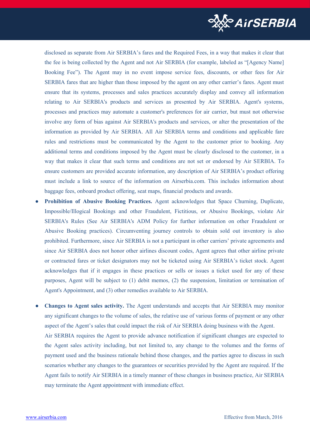

disclosed as separate from Air SERBIA's fares and the Required Fees, in a way that makes it clear that the fee is being collected by the Agent and not Air SERBIA (for example, labeled as "[Agency Name] Booking Fee"). The Agent may in no event impose service fees, discounts, or other fees for Air SERBIA fares that are higher than those imposed by the agent on any other carrier's fares. Agent must ensure that its systems, processes and sales practices accurately display and convey all information relating to Air SERBIA's products and services as presented by Air SERBIA. Agent's systems, processes and practices may automate a customer's preferences for air carrier, but must not otherwise involve any form of bias against Air SERBIA's products and services, or alter the presentation of the information as provided by Air SERBIA. All Air SERBIA terms and conditions and applicable fare rules and restrictions must be communicated by the Agent to the customer prior to booking. Any additional terms and conditions imposed by the Agent must be clearly disclosed to the customer, in a way that makes it clear that such terms and conditions are not set or endorsed by Air SERBIA. To ensure customers are provided accurate information, any description of Air SERBIA's product offering must include a link to source of the information on Airserbia.com. This includes information about baggage fees, onboard product offering, seat maps, financial products and awards.

- **● Prohibition of Abusive Booking Practices.** Agent acknowledges that Space Churning, Duplicate, Impossible/Illogical Bookings and other Fraudulent, Fictitious, or Abusive Bookings, violate Air SERBIA's Rules (See Air SERBIA's ADM Policy for further information on other Fraudulent or Abusive Booking practices). Circumventing journey controls to obtain sold out inventory is also prohibited. Furthermore, since Air SERBIA is not a participant in other carriers' private agreements and since Air SERBIA does not honor other airlines discount codes, Agent agrees that other airline private or contracted fares or ticket designators may not be ticketed using Air SERBIA's ticket stock. Agent acknowledges that if it engages in these practices or sells or issues a ticket used for any of these purposes, Agent will be subject to (1) debit memos, (2) the suspension, limitation or termination of Agent's Appointment, and (3) other remedies available to Air SERBIA.
- **● Changes to Agent sales activity.** The Agent understands and accepts that Air SERBIA may monitor any significant changes to the volume of sales, the relative use of various forms of payment or any other aspect of the Agent's sales that could impact the risk of Air SERBIA doing business with the Agent. Air SERBIA requires the Agent to provide advance notification if significant changes are expected to the Agent sales activity including, but not limited to, any change to the volumes and the forms of payment used and the business rationale behind those changes, and the parties agree to discuss in such scenarios whether any changes to the guarantees or securities provided by the Agent are required. If the Agent fails to notify Air SERBIA in a timely manner of these changes in business practice, Air SERBIA may terminate the Agent appointment with immediate effect.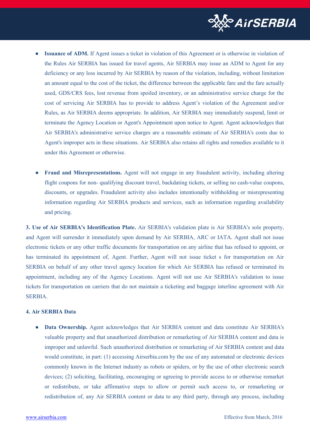

- **Issuance of ADM.** If Agent issues a ticket in violation of this Agreement or is otherwise in violation of the Rules Air SERBIA has issued for travel agents, Air SERBIA may issue an ADM to Agent for any deficiency or any loss incurred by Air SERBIA by reason of the violation, including, without limitation an amount equal to the cost of the ticket, the difference between the applicable fare and the fare actually used, GDS/CRS fees, lost revenue from spoiled inventory, or an administrative service charge for the cost of servicing Air SERBIA has to provide to address Agent's violation of the Agreement and/or Rules, as Air SERBIA deems appropriate. In addition, Air SERBIA may immediately suspend, limit or terminate the Agency Location or Agent's Appointment upon notice to Agent. Agent acknowledges that Air SERBIA's administrative service charges are a reasonable estimate of Air SERBIA's costs due to Agent's improper acts in these situations. Air SERBIA also retains all rights and remedies available to it under this Agreement or otherwise.
- **Fraud and Misrepresentations.** Agent will not engage in any fraudulent activity, including altering flight coupons for non- qualifying discount travel, backdating tickets, or selling no cash-value coupons, discounts, or upgrades. Fraudulent activity also includes intentionally withholding or misrepresenting information regarding Air SERBIA products and services, such as information regarding availability and pricing.

**3. Use of Air SERBIA's Identification Plate.** Air SERBIA's validation plate is Air SERBIA's sole property, and Agent will surrender it immediately upon demand by Air SERBIA, ARC or IATA. Agent shall not issue electronic tickets or any other traffic documents for transportation on any airline that has refused to appoint, or has terminated its appointment of, Agent. Further, Agent will not issue ticket s for transportation on Air SERBIA on behalf of any other travel agency location for which Air SERBIA has refused or terminated its appointment, including any of the Agency Locations. Agent will not use Air SERBIA's validation to issue tickets for transportation on carriers that do not maintain a ticketing and baggage interline agreement with Air **SERBIA** 

# **4. Air SERBIA Data**

**● Data Ownership.** Agent acknowledges that Air SERBIA content and data constitute Air SERBIA's valuable property and that unauthorized distribution or remarketing of Air SERBIA content and data is improper and unlawful. Such unauthorized distribution or remarketing of Air SERBIA content and data would constitute, in part: (1) accessing Airserbia.com by the use of any automated or electronic devices commonly known in the Internet industry as robots or spiders, or by the use of other electronic search devices; (2) soliciting, facilitating, encouraging or agreeing to provide access to or otherwise remarket or redistribute, or take affirmative steps to allow or permit such access to, or remarketing or redistribution of, any Air SERBIA content or data to any third party, through any process, including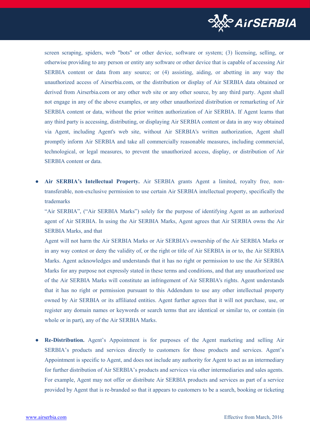

screen scraping, spiders, web "bots" or other device, software or system; (3) licensing, selling, or otherwise providing to any person or entity any software or other device that is capable of accessing Air SERBIA content or data from any source; or (4) assisting, aiding, or abetting in any way the unauthorized access of Airserbia.com, or the distribution or display of Air SERBIA data obtained or derived from Airserbia.com or any other web site or any other source, by any third party. Agent shall not engage in any of the above examples, or any other unauthorized distribution or remarketing of Air SERBIA content or data, without the prior written authorization of Air SERBIA. If Agent learns that any third party is accessing, distributing, or displaying Air SERBIA content or data in any way obtained via Agent, including Agent's web site, without Air SERBIA's written authorization, Agent shall promptly inform Air SERBIA and take all commercially reasonable measures, including commercial, technological, or legal measures, to prevent the unauthorized access, display, or distribution of Air SERBIA content or data.

**● Air SERBIA's Intellectual Property.** Air SERBIA grants Agent a limited, royalty free, nontransferable, non-exclusive permission to use certain Air SERBIA intellectual property, specifically the trademarks

"Air SERBIA", ("Air SERBIA Marks") solely for the purpose of identifying Agent as an authorized agent of Air SERBIA. In using the Air SERBIA Marks, Agent agrees that Air SERBIA owns the Air SERBIA Marks, and that

Agent will not harm the Air SERBIA Marks or Air SERBIA's ownership of the Air SERBIA Marks or in any way contest or deny the validity of, or the right or title of Air SERBIA in or to, the Air SERBIA Marks. Agent acknowledges and understands that it has no right or permission to use the Air SERBIA Marks for any purpose not expressly stated in these terms and conditions, and that any unauthorized use of the Air SERBIA Marks will constitute an infringement of Air SERBIA's rights. Agent understands that it has no right or permission pursuant to this Addendum to use any other intellectual property owned by Air SERBIA or its affiliated entities. Agent further agrees that it will not purchase, use, or register any domain names or keywords or search terms that are identical or similar to, or contain (in whole or in part), any of the Air SERBIA Marks.

**Re-Distribution.** Agent's Appointment is for purposes of the Agent marketing and selling Air SERBIA's products and services directly to customers for those products and services. Agent's Appointment is specific to Agent, and does not include any authority for Agent to act as an intermediary for further distribution of Air SERBIA's products and services via other intermediaries and sales agents. For example, Agent may not offer or distribute Air SERBIA products and services as part of a service provided by Agent that is re-branded so that it appears to customers to be a search, booking or ticketing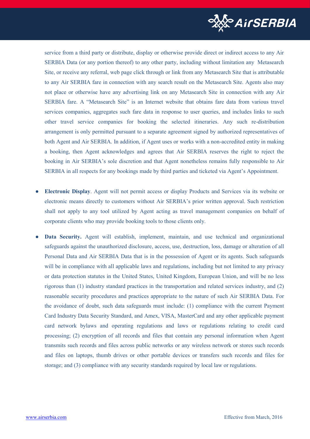

service from a third party or distribute, display or otherwise provide direct or indirect access to any Air SERBIA Data (or any portion thereof) to any other party, including without limitation any Metasearch Site, or receive any referral, web page click through or link from any Metasearch Site that is attributable to any Air SERBIA fare in connection with any search result on the Metasearch Site. Agents also may not place or otherwise have any advertising link on any Metasearch Site in connection with any Air SERBIA fare. A "Metasearch Site" is an Internet website that obtains fare data from various travel services companies, aggregates such fare data in response to user queries, and includes links to such other travel service companies for booking the selected itineraries. Any such re-distribution arrangement is only permitted pursuant to a separate agreement signed by authorized representatives of both Agent and Air SERBIA. In addition, if Agent uses or works with a non-accredited entity in making a booking, then Agent acknowledges and agrees that Air SERBIA reserves the right to reject the booking in Air SERBIA's sole discretion and that Agent nonetheless remains fully responsible to Air SERBIA in all respects for any bookings made by third parties and ticketed via Agent's Appointment.

- **● Electronic Display**. Agent will not permit access or display Products and Services via its website or electronic means directly to customers without Air SERBIA's prior written approval. Such restriction shall not apply to any tool utilized by Agent acting as travel management companies on behalf of corporate clients who may provide booking tools to those clients only.
- **Data Security.** Agent will establish, implement, maintain, and use technical and organizational safeguards against the unauthorized disclosure, access, use, destruction, loss, damage or alteration of all Personal Data and Air SERBIA Data that is in the possession of Agent or its agents. Such safeguards will be in compliance with all applicable laws and regulations, including but not limited to any privacy or data protection statutes in the United States, United Kingdom, European Union, and will be no less rigorous than (1) industry standard practices in the transportation and related services industry, and (2) reasonable security procedures and practices appropriate to the nature of such Air SERBIA Data. For the avoidance of doubt, such data safeguards must include: (1) compliance with the current Payment Card Industry Data Security Standard, and Amex, VISA, MasterCard and any other applicable payment card network bylaws and operating regulations and laws or regulations relating to credit card processing; (2) encryption of all records and files that contain any personal information when Agent transmits such records and files across public networks or any wireless network or stores such records and files on laptops, thumb drives or other portable devices or transfers such records and files for storage; and (3) compliance with any security standards required by local law or regulations.